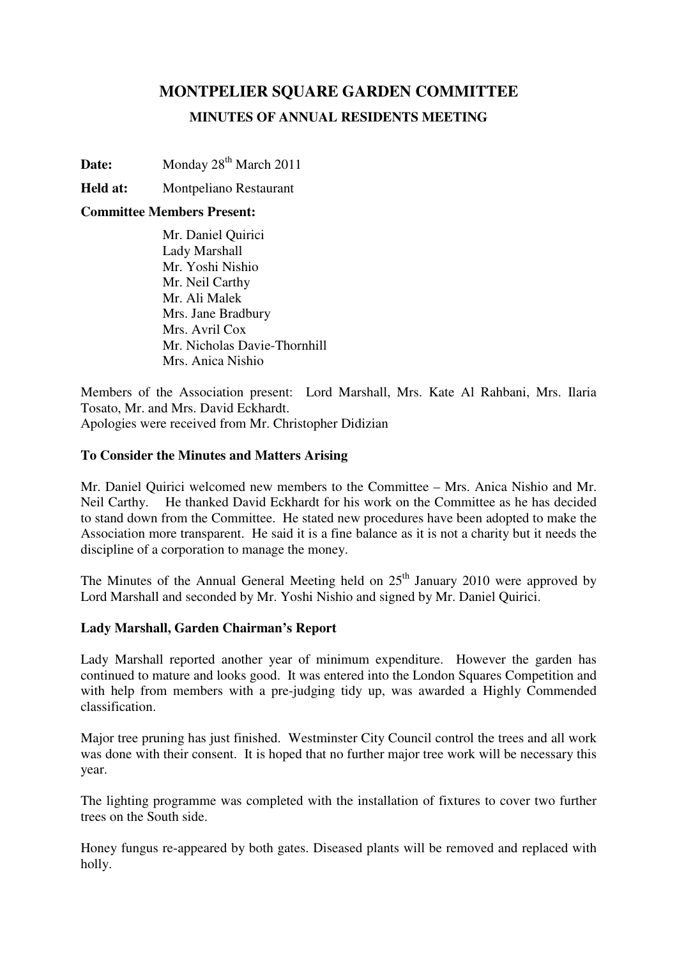# **MONTPELIER SQUARE GARDEN COMMITTEE MINUTES OF ANNUAL RESIDENTS MEETING**

Date: Monday 28<sup>th</sup> March 2011

## **Held at:** Montpeliano Restaurant

#### **Committee Members Present:**

Mr. Daniel Quirici Lady Marshall Mr. Yoshi Nishio Mr. Neil Carthy Mr. Ali Malek Mrs. Jane Bradbury Mrs. Avril Cox Mr. Nicholas Davie-Thornhill Mrs. Anica Nishio

Members of the Association present: Lord Marshall, Mrs. Kate Al Rahbani, Mrs. Ilaria Tosato, Mr. and Mrs. David Eckhardt. Apologies were received from Mr. Christopher Didizian

#### **To Consider the Minutes and Matters Arising**

Mr. Daniel Quirici welcomed new members to the Committee – Mrs. Anica Nishio and Mr. Neil Carthy. He thanked David Eckhardt for his work on the Committee as he has decided to stand down from the Committee. He stated new procedures have been adopted to make the Association more transparent. He said it is a fine balance as it is not a charity but it needs the discipline of a corporation to manage the money.

The Minutes of the Annual General Meeting held on  $25<sup>th</sup>$  January 2010 were approved by Lord Marshall and seconded by Mr. Yoshi Nishio and signed by Mr. Daniel Quirici.

#### **Lady Marshall, Garden Chairman's Report**

Lady Marshall reported another year of minimum expenditure. However the garden has continued to mature and looks good. It was entered into the London Squares Competition and with help from members with a pre-judging tidy up, was awarded a Highly Commended classification.

Major tree pruning has just finished. Westminster City Council control the trees and all work was done with their consent. It is hoped that no further major tree work will be necessary this year.

The lighting programme was completed with the installation of fixtures to cover two further trees on the South side.

Honey fungus re-appeared by both gates. Diseased plants will be removed and replaced with holly.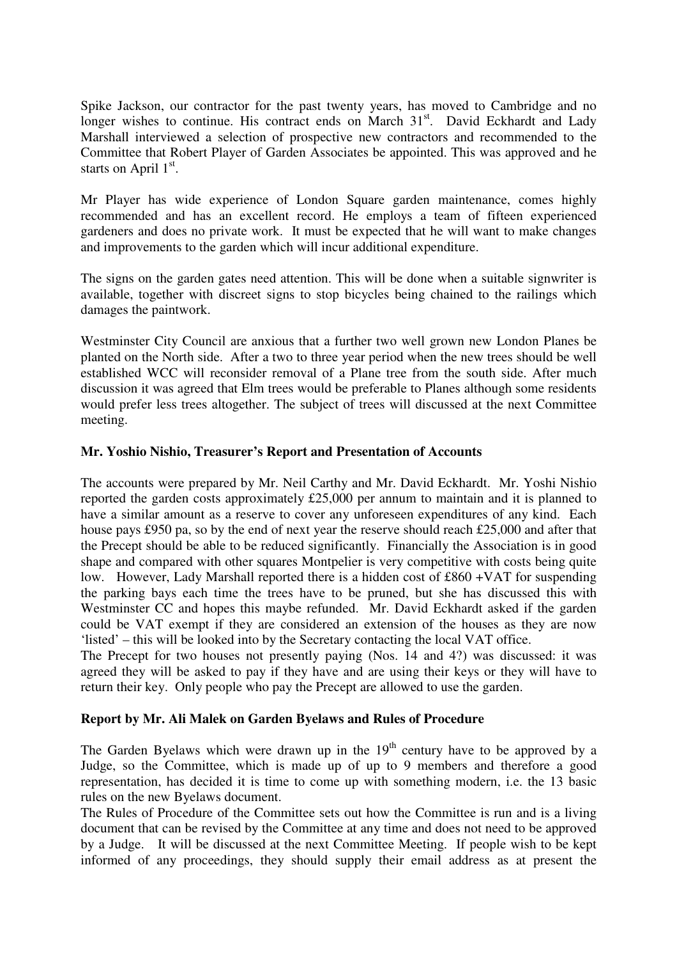Spike Jackson, our contractor for the past twenty years, has moved to Cambridge and no longer wishes to continue. His contract ends on March  $31<sup>st</sup>$ . David Eckhardt and Lady Marshall interviewed a selection of prospective new contractors and recommended to the Committee that Robert Player of Garden Associates be appointed. This was approved and he starts on April  $1<sup>st</sup>$ .

Mr Player has wide experience of London Square garden maintenance, comes highly recommended and has an excellent record. He employs a team of fifteen experienced gardeners and does no private work. It must be expected that he will want to make changes and improvements to the garden which will incur additional expenditure.

The signs on the garden gates need attention. This will be done when a suitable signwriter is available, together with discreet signs to stop bicycles being chained to the railings which damages the paintwork.

Westminster City Council are anxious that a further two well grown new London Planes be planted on the North side. After a two to three year period when the new trees should be well established WCC will reconsider removal of a Plane tree from the south side. After much discussion it was agreed that Elm trees would be preferable to Planes although some residents would prefer less trees altogether. The subject of trees will discussed at the next Committee meeting.

#### **Mr. Yoshio Nishio, Treasurer's Report and Presentation of Accounts**

The accounts were prepared by Mr. Neil Carthy and Mr. David Eckhardt. Mr. Yoshi Nishio reported the garden costs approximately £25,000 per annum to maintain and it is planned to have a similar amount as a reserve to cover any unforeseen expenditures of any kind. Each house pays £950 pa, so by the end of next year the reserve should reach £25,000 and after that the Precept should be able to be reduced significantly. Financially the Association is in good shape and compared with other squares Montpelier is very competitive with costs being quite low. However, Lady Marshall reported there is a hidden cost of £860 +VAT for suspending the parking bays each time the trees have to be pruned, but she has discussed this with Westminster CC and hopes this maybe refunded. Mr. David Eckhardt asked if the garden could be VAT exempt if they are considered an extension of the houses as they are now 'listed' – this will be looked into by the Secretary contacting the local VAT office.

The Precept for two houses not presently paying (Nos. 14 and 4?) was discussed: it was agreed they will be asked to pay if they have and are using their keys or they will have to return their key. Only people who pay the Precept are allowed to use the garden.

#### **Report by Mr. Ali Malek on Garden Byelaws and Rules of Procedure**

The Garden Byelaws which were drawn up in the  $19<sup>th</sup>$  century have to be approved by a Judge, so the Committee, which is made up of up to 9 members and therefore a good representation, has decided it is time to come up with something modern, i.e. the 13 basic rules on the new Byelaws document.

The Rules of Procedure of the Committee sets out how the Committee is run and is a living document that can be revised by the Committee at any time and does not need to be approved by a Judge. It will be discussed at the next Committee Meeting. If people wish to be kept informed of any proceedings, they should supply their email address as at present the